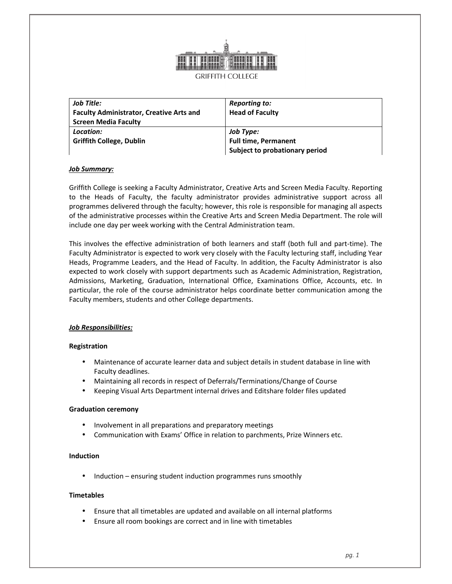

| Job Title:                                      | <b>Reporting to:</b>           |
|-------------------------------------------------|--------------------------------|
| <b>Faculty Administrator, Creative Arts and</b> | <b>Head of Faculty</b>         |
| <b>Screen Media Faculty</b>                     |                                |
| Location:                                       | Job Type:                      |
| <b>Griffith College, Dublin</b>                 | <b>Full time, Permanent</b>    |
|                                                 | Subject to probationary period |

# *Job Summary:*

Griffith College is seeking a Faculty Administrator, Creative Arts and Screen Media Faculty. Reporting to the Heads of Faculty, the faculty administrator provides administrative support across all programmes delivered through the faculty; however, this role is responsible for managing all aspects of the administrative processes within the Creative Arts and Screen Media Department. The role will include one day per week working with the Central Administration team.

This involves the effective administration of both learners and staff (both full and part-time). The Faculty Administrator is expected to work very closely with the Faculty lecturing staff, including Year Heads, Programme Leaders, and the Head of Faculty. In addition, the Faculty Administrator is also expected to work closely with support departments such as Academic Administration, Registration, Admissions, Marketing, Graduation, International Office, Examinations Office, Accounts, etc. In particular, the role of the course administrator helps coordinate better communication among the Faculty members, students and other College departments.

### *Job Responsibilities:*

### **Registration**

- Maintenance of accurate learner data and subject details in student database in line with Faculty deadlines.
- Maintaining all records in respect of Deferrals/Terminations/Change of Course
- Keeping Visual Arts Department internal drives and Editshare folder files updated

### **Graduation ceremony**

- Involvement in all preparations and preparatory meetings
- Communication with Exams' Office in relation to parchments, Prize Winners etc.

### **Induction**

• Induction – ensuring student induction programmes runs smoothly

### **Timetables**

- Ensure that all timetables are updated and available on all internal platforms
- Ensure all room bookings are correct and in line with timetables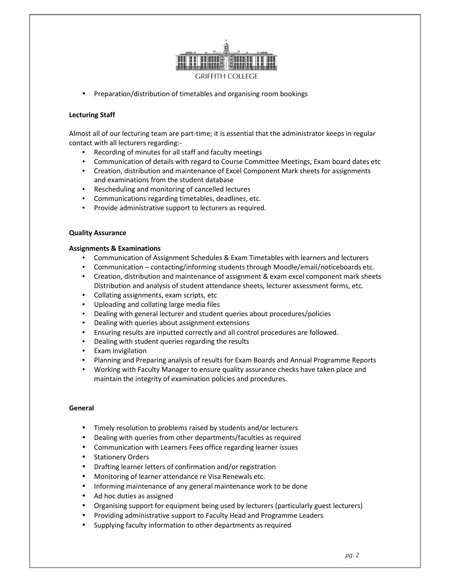

• Preparation/distribution of timetables and organising room bookings

# **Lecturing Staff**

Almost all of our lecturing team are part-time; it is essential that the administrator keeps in regular contact with all lecturers regarding:-

- Recording of minutes for all staff and faculty meetings
- Communication of details with regard to Course Committee Meetings, Exam board dates etc
- Creation, distribution and maintenance of Excel Component Mark sheets for assignments and examinations from the student database
- Rescheduling and monitoring of cancelled lectures
- Communications regarding timetables, deadlines, etc.
- Provide administrative support to lecturers as required.

### **Quality Assurance**

### **Assignments & Examinations**

- Communication of Assignment Schedules & Exam Timetables with learners and lecturers
- Communication contacting/informing students through Moodle/email/noticeboards etc.
- Creation, distribution and maintenance of assignment & exam excel component mark sheets Distribution and analysis of student attendance sheets, lecturer assessment forms, etc.
- Collating assignments, exam scripts, etc
- Uploading and collating large media files
- Dealing with general lecturer and student queries about procedures/policies
- Dealing with queries about assignment extensions
- Ensuring results are inputted correctly and all control procedures are followed.
- Dealing with student queries regarding the results
- Exam invigilation
- Planning and Preparing analysis of results for Exam Boards and Annual Programme Reports
- Working with Faculty Manager to ensure quality assurance checks have taken place and maintain the integrity of examination policies and procedures.

### **General**

- Timely resolution to problems raised by students and/or lecturers
- Dealing with queries from other departments/faculties as required
- Communication with Learners Fees office regarding learner issues
- Stationery Orders
- Drafting learner letters of confirmation and/or registration
- Monitoring of learner attendance re Visa Renewals etc.
- Informing maintenance of any general maintenance work to be done
- Ad hoc duties as assigned
- Organising support for equipment being used by lecturers (particularly guest lecturers)
- Providing administrative support to Faculty Head and Programme Leaders
- Supplying faculty information to other departments as required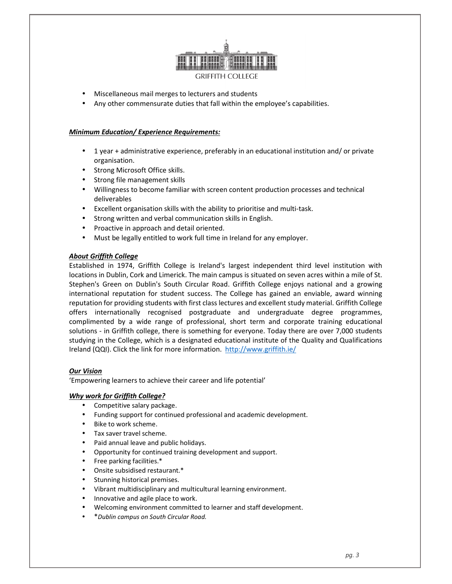

- Miscellaneous mail merges to lecturers and students
- Any other commensurate duties that fall within the employee's capabilities.

## *Minimum Education/ Experience Requirements:*

- 1 year + administrative experience, preferably in an educational institution and/ or private organisation.
- Strong Microsoft Office skills.
- Strong file management skills
- Willingness to become familiar with screen content production processes and technical deliverables
- Excellent organisation skills with the ability to prioritise and multi-task.
- Strong written and verbal communication skills in English.
- Proactive in approach and detail oriented.
- Must be legally entitled to work full time in Ireland for any employer.

### *About Griffith College*

Established in 1974, Griffith College is Ireland's largest independent third level institution with locations in Dublin, Cork and Limerick. The main campus is situated on seven acres within a mile of St. Stephen's Green on Dublin's South Circular Road. Griffith College enjoys national and a growing international reputation for student success. The College has gained an enviable, award winning reputation for providing students with first class lectures and excellent study material. Griffith College offers internationally recognised postgraduate and undergraduate degree programmes, complimented by a wide range of professional, short term and corporate training educational solutions - in Griffith college, there is something for everyone. Today there are over 7,000 students studying in the College, which is a designated educational institute of the Quality and Qualifications Ireland (QQI). Click the link for more information. http://www.griffith.ie/

### *Our Vision*

'Empowering learners to achieve their career and life potential'

#### *Why work for Griffith College?*

- Competitive salary package.
- Funding support for continued professional and academic development.
- Bike to work scheme.
- Tax saver travel scheme.
- Paid annual leave and public holidays.
- Opportunity for continued training development and support.
- Free parking facilities.\*
- Onsite subsidised restaurant.\*
- Stunning historical premises.
- Vibrant multidisciplinary and multicultural learning environment.
- Innovative and agile place to work.
- Welcoming environment committed to learner and staff development.
- \**Dublin campus on South Circular Road.*